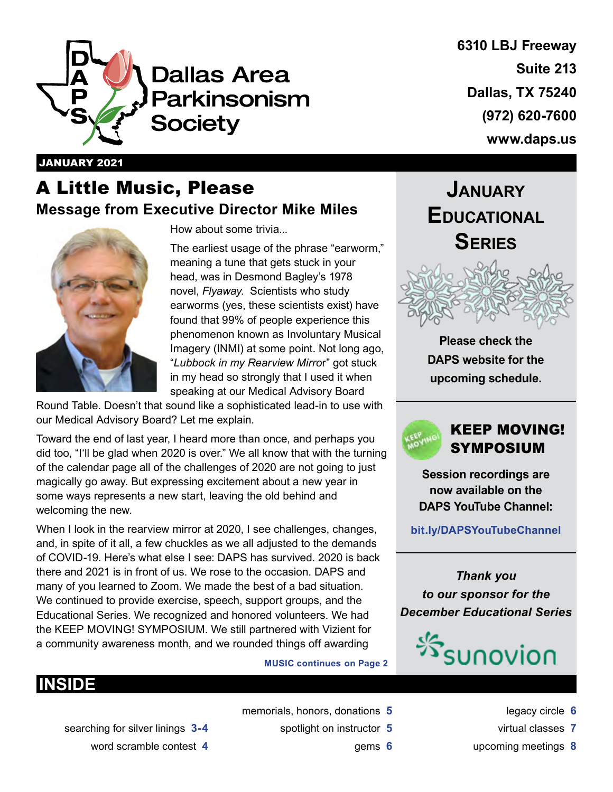<span id="page-0-0"></span>

**Dallas Area** Parkinsonism **Society** 

**6310 LBJ Freeway Suite 213 Dallas, TX 75240 (972) 620-7600 [www.daps.us](https://daps.us)**

### JANUARY 2021

# A Little Music, Please **Message from Executive Director Mike Miles**



How about some trivia...

The earliest usage of the phrase "earworm," meaning a tune that gets stuck in your head, was in Desmond Bagley's 1978 novel, *Flyaway*. Scientists who study earworms (yes, these scientists exist) have found that 99% of people experience this phenomenon known as Involuntary Musical Imagery (INMI) at some point. Not long ago, "*Lubbock in my Rearview Mirro*r" got stuck in my head so strongly that I used it when speaking at our Medical Advisory Board

Round Table. Doesn't that sound like a sophisticated lead-in to use with our Medical Advisory Board? Let me explain.

Toward the end of last year, I heard more than once, and perhaps you did too, "I'll be glad when 2020 is over." We all know that with the turning of the calendar page all of the challenges of 2020 are not going to just magically go away. But expressing excitement about a new year in some ways represents a new start, leaving the old behind and welcoming the new.

When I look in the rearview mirror at 2020, I see challenges, changes, and, in spite of it all, a few chuckles as we all adjusted to the demands of COVID-19. Here's what else I see: DAPS has survived. 2020 is back there and 2021 is in front of us. We rose to the occasion. DAPS and many of you learned to Zoom. We made the best of a bad situation. We continued to provide exercise, speech, support groups, and the Educational Series. We recognized and honored volunteers. We had the KEEP MOVING! SYMPOSIUM. We still partnered with Vizient for a community awareness month, and we rounded things off awarding

# **January Educational Series**



**Please check the DAPS website for the upcoming schedule.**



# KEEP MOVING! SYMPOSIUM

**Session recordings are now available on the DAPS YouTube Channel:**

# **[bit.ly/DAPSYouTubeChannel](https://bit.ly/DAPSYouTubeChannel)**

*Thank you to our sponsor for the December Educational Series*



# **INSIDE**

memorials, honors, donations **[5](#page-4-0)**

**MUSIC [continues](#page-1-0) on Page 2**

- spotlight on instructor **[5](#page-4-0)**
	- gems **[6](#page-5-0)**
- legacy circle **[6](#page-5-0)**
- virtual classes **[7](#page-6-0)**
- upcoming meetings **[8](#page-7-0)**
- searching for silver linings **[3](#page-2-0)-4**
	- word scramble contest **[4](#page-3-0)**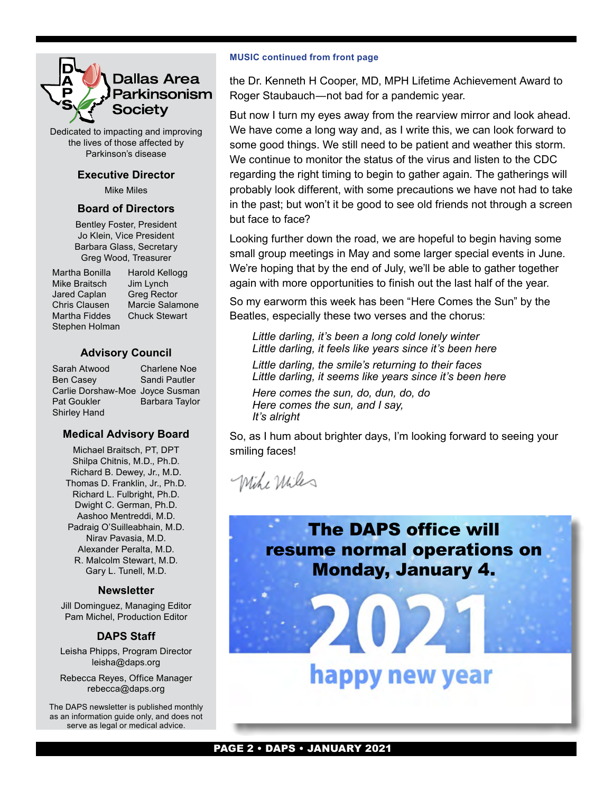<span id="page-1-0"></span>

Dedicated to impacting and improving the lives of those affected by Parkinson's disease

#### **Executive Director**

Mike Miles

### **Board of Directors**

Bentley Foster, President Jo Klein, Vice President Barbara Glass, Secretary Greg Wood, Treasurer

Martha Bonilla Mike Braitsch Jared Caplan Chris Clausen Martha Fiddes Stephen Holman Harold Kellogg Jim Lynch Greg Rector Marcie Salamone Chuck Stewart

### **Advisory Council**

Sarah Atwood Charlene Noe Ben Casey Sandi Pautler Carlie Dorshaw-Moe Joyce Susman Pat Goukler Barbara Taylor Shirley Hand

#### **Medical Advisory Board**

Michael Braitsch, PT, DPT Shilpa Chitnis, M.D., Ph.D. Richard B. Dewey, Jr., M.D. Thomas D. Franklin, Jr., Ph.D. Richard L. Fulbright, Ph.D. Dwight C. German, Ph.D. Aashoo Mentreddi, M.D. Padraig O'Suilleabhain, M.D. Nirav Pavasia, M.D. Alexander Peralta, M.D. R. Malcolm Stewart, M.D. Gary L. Tunell, M.D.

#### **Newsletter**

Jill Dominguez, Managing Editor Pam Michel, Production Editor

#### **DAPS Staff**

Leisha Phipps, Program Director leisha@daps.org

Rebecca Reyes, Office Manager rebecca@daps.org

The DAPS newsletter is published monthly as an information guide only, and does not serve as legal or medical advice.

#### **MUSI[C continued from front page](#page-0-0)**

the Dr. Kenneth H Cooper, MD, MPH Lifetime Achievement Award to Roger Staubauch―not bad for a pandemic year.

But now I turn my eyes away from the rearview mirror and look ahead. We have come a long way and, as I write this, we can look forward to some good things. We still need to be patient and weather this storm. We continue to monitor the status of the virus and listen to the CDC regarding the right timing to begin to gather again. The gatherings will probably look different, with some precautions we have not had to take in the past; but won't it be good to see old friends not through a screen but face to face?

Looking further down the road, we are hopeful to begin having some small group meetings in May and some larger special events in June. We're hoping that by the end of July, we'll be able to gather together again with more opportunities to finish out the last half of the year.

So my earworm this week has been "Here Comes the Sun" by the Beatles, especially these two verses and the chorus:

*Little darling, it's been a long cold lonely winter Little darling, it feels like years since it's been here*

*Little darling, the smile's returning to their faces Little darling, it seems like years since it's been here*

*Here comes the sun, do, dun, do, do Here comes the sun, and I say, It's alright*

So, as I hum about brighter days, I'm looking forward to seeing your smiling faces!

Mihe Miles

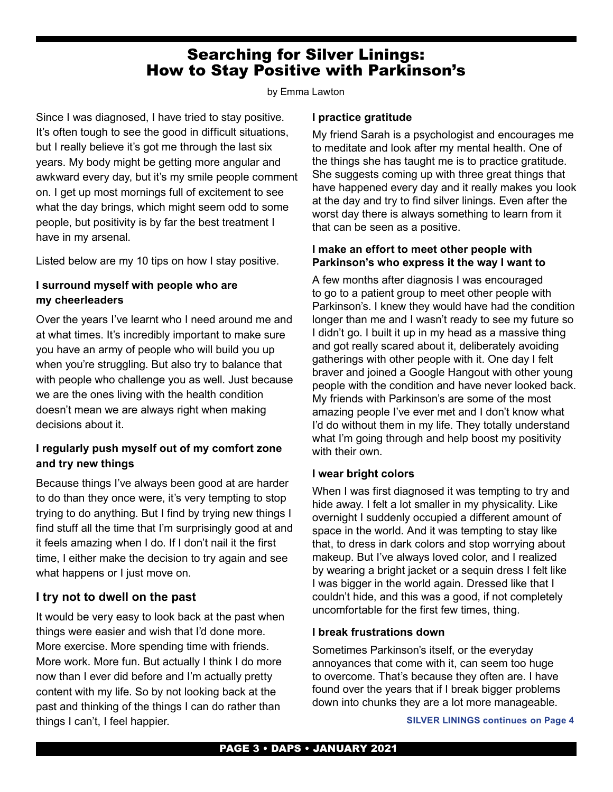# Searching for Silver Linings: How to Stay Positive with Parkinson's

by Emma Lawton

<span id="page-2-0"></span>Since I was diagnosed, I have tried to stay positive. It's often tough to see the good in difficult situations, but I really believe it's got me through the last six years. My body might be getting more angular and awkward every day, but it's my smile people comment on. I get up most mornings full of excitement to see what the day brings, which might seem odd to some people, but positivity is by far the best treatment I have in my arsenal.

Listed below are my 10 tips on how I stay positive.

### **I surround myself with people who are my cheerleaders**

Over the years I've learnt who I need around me and at what times. It's incredibly important to make sure you have an army of people who will build you up when you're struggling. But also try to balance that with people who challenge you as well. Just because we are the ones living with the health condition doesn't mean we are always right when making decisions about it.

# **I regularly push myself out of my comfort zone and try new things**

Because things I've always been good at are harder to do than they once were, it's very tempting to stop trying to do anything. But I find by trying new things I find stuff all the time that I'm surprisingly good at and it feels amazing when I do. If I don't nail it the first time, I either make the decision to try again and see what happens or I just move on.

# **I try not to dwell on the past**

It would be very easy to look back at the past when things were easier and wish that I'd done more. More exercise. More spending time with friends. More work. More fun. But actually I think I do more now than I ever did before and I'm actually pretty content with my life. So by not looking back at the past and thinking of the things I can do rather than things I can't, I feel happier.

### **I practice gratitude**

My friend Sarah is a psychologist and encourages me to meditate and look after my mental health. One of the things she has taught me is to practice gratitude. She suggests coming up with three great things that have happened every day and it really makes you look at the day and try to find silver linings. Even after the worst day there is always something to learn from it that can be seen as a positive.

### **I make an effort to meet other people with Parkinson's who express it the way I want to**

A few months after diagnosis I was encouraged to go to a patient group to meet other people with Parkinson's. I knew they would have had the condition longer than me and I wasn't ready to see my future so I didn't go. I built it up in my head as a massive thing and got really scared about it, deliberately avoiding gatherings with other people with it. One day I felt braver and joined a Google Hangout with other young people with the condition and have never looked back. My friends with Parkinson's are some of the most amazing people I've ever met and I don't know what I'd do without them in my life. They totally understand what I'm going through and help boost my positivity with their own.

### **I wear bright colors**

When I was first diagnosed it was tempting to try and hide away. I felt a lot smaller in my physicality. Like overnight I suddenly occupied a different amount of space in the world. And it was tempting to stay like that, to dress in dark colors and stop worrying about makeup. But I've always loved color, and I realized by wearing a bright jacket or a sequin dress I felt like I was bigger in the world again. Dressed like that I couldn't hide, and this was a good, if not completely uncomfortable for the first few times, thing.

### **I break frustrations down**

Sometimes Parkinson's itself, or the everyday annoyances that come with it, can seem too huge to overcome. That's because they often are. I have found over the years that if I break bigger problems down into chunks they are a lot more manageable.

#### **SILVER LININGS [continues](#page-3-0) on Page 4**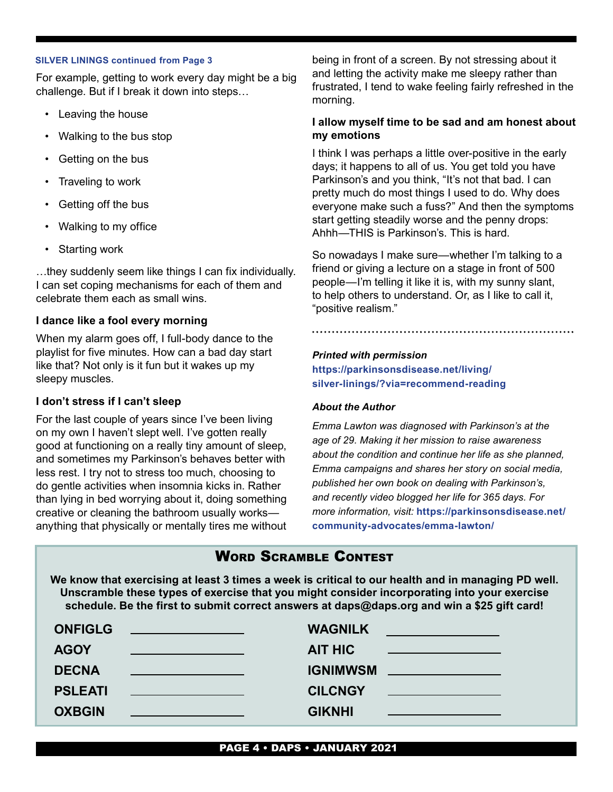#### <span id="page-3-0"></span>**SILVER LININGS continued [from Page](#page-2-0) 3**

For example, getting to work every day might be a big challenge. But if I break it down into steps…

- Leaving the house
- Walking to the bus stop
- Getting on the bus
- Traveling to work
- Getting off the bus
- Walking to my office
- Starting work

…they suddenly seem like things I can fix individually. I can set coping mechanisms for each of them and celebrate them each as small wins.

# **I dance like a fool every morning**

When my alarm goes off, I full-body dance to the playlist for five minutes. How can a bad day start like that? Not only is it fun but it wakes up my sleepy muscles.

# **I don't stress if I can't sleep**

For the last couple of years since I've been living on my own I haven't slept well. I've gotten really good at functioning on a really tiny amount of sleep, and sometimes my Parkinson's behaves better with less rest. I try not to stress too much, choosing to do gentle activities when insomnia kicks in. Rather than lying in bed worrying about it, doing something creative or cleaning the bathroom usually works anything that physically or mentally tires me without being in front of a screen. By not stressing about it and letting the activity make me sleepy rather than frustrated, I tend to wake feeling fairly refreshed in the morning.

### **I allow myself time to be sad and am honest about my emotions**

I think I was perhaps a little over-positive in the early days; it happens to all of us. You get told you have Parkinson's and you think, "It's not that bad. I can pretty much do most things I used to do. Why does everyone make such a fuss?" And then the symptoms start getting steadily worse and the penny drops: Ahhh—THIS is Parkinson's. This is hard.

So nowadays I make sure—whether I'm talking to a friend or giving a lecture on a stage in front of 500 people—I'm telling it like it is, with my sunny slant, to help others to understand. Or, as I like to call it, "positive realism."

# *Printed with permission*

**[https://parkinsonsdisease.net/living/](https://parkinsonsdisease.net/living/silver-linings/?via=recommend-reading) [silver-linings/?via=recommend-reading](https://parkinsonsdisease.net/living/silver-linings/?via=recommend-reading)**

# *About the Author*

*Emma Lawton was diagnosed with Parkinson's at the age of 29. Making it her mission to raise awareness about the condition and continue her life as she planned, Emma campaigns and shares her story on social media, published her own book on dealing with Parkinson's, and recently video blogged her life for 365 days. For more information, visit:* **[https://parkinsonsdisease.net/](https://parkinsonsdisease.net/community-advocates/emma-lawton/) [community-advocates/emma-lawton/](https://parkinsonsdisease.net/community-advocates/emma-lawton/)**

# **WORD SCRAMBLE CONTEST**

**We know that exercising at least 3 times a week is critical to our health and in managing PD well. Unscramble these types of exercise that you might consider incorporating into your exercise schedule. Be the first to submit correct answers at daps@daps.org and win a \$25 gift card!**

| <b>ONFIGLG</b> | <u>and the state of the state of the state of the state of the state of the state of the state of the state of the state of the state of the state of the state of the state of the state of the state of the state of the state</u> | <b>WAGNILK</b>  | <u> 1989 - Johann Stein, mars an de France</u>                                                                  |
|----------------|--------------------------------------------------------------------------------------------------------------------------------------------------------------------------------------------------------------------------------------|-----------------|-----------------------------------------------------------------------------------------------------------------|
| <b>AGOY</b>    | <u> 1989 - Johann Stone, mars et al. (</u>                                                                                                                                                                                           | <b>AIT HIC</b>  | the control of the control of the control of the control of the control of                                      |
| <b>DECNA</b>   | <u> 1989 - Johann Stein, mars an t-Amerikaansk kommunister (</u>                                                                                                                                                                     | <b>IGNIMWSM</b> | <u> 1990 - John Marie Barn, mars französischer Karl (</u>                                                       |
| <b>PSLEATI</b> | <u> 1990 - Johann Barn, mars ann an t-Alban ann an t-Alban ann an t-Alban ann an t-Alban ann an t-Alban ann an t-Alban ann an t-Alban ann an t-Alban ann an t-Alban ann an t-Alban ann an t-Alban ann an t-Alban ann an t-Alban </u> | <b>CILCNGY</b>  | <u> 1980 - Jan Stein Stein, fransk politik (</u>                                                                |
| <b>OXBGIN</b>  | <u> 1999 - Johann Barbara, martxa al</u>                                                                                                                                                                                             | <b>GIKNHI</b>   | and the state of the state of the state of the state of the state of the state of the state of the state of the |

# PAGE 4 • DAPS • JANUARY 2021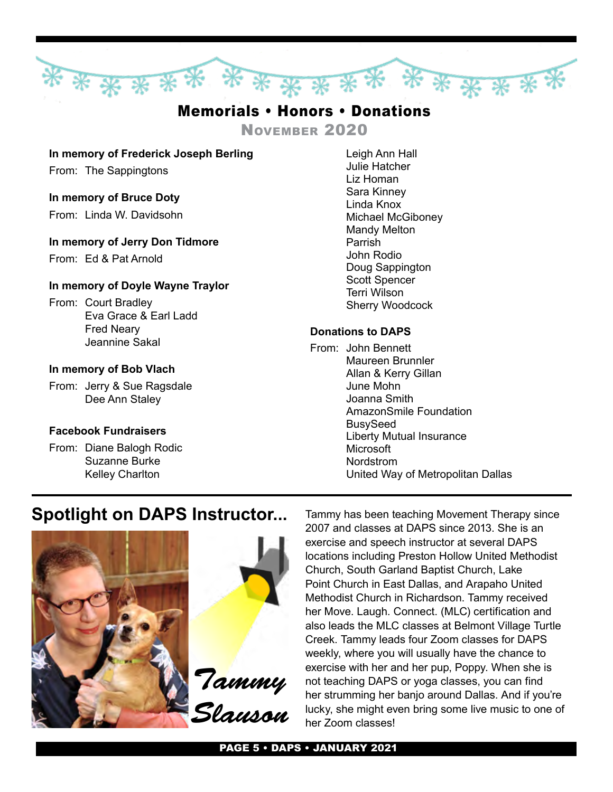# Memorials • Honors • Donations

November 2020

**In memory of Frederick Joseph Berling**

From: The Sappingtons

<span id="page-4-0"></span>\*\*\*\*\*

**In memory of Bruce Doty** From: Linda W. Davidsohn

# **In memory of Jerry Don Tidmore**

From: Ed & Pat Arnold

### **In memory of Doyle Wayne Traylor**

From: Court Bradley Eva Grace & Earl Ladd Fred Neary Jeannine Sakal

### **In memory of Bob Vlach**

From: Jerry & Sue Ragsdale Dee Ann Staley

### **Facebook Fundraisers**

From: Diane Balogh Rodic Suzanne Burke Kelley Charlton

Leigh Ann Hall Julie Hatcher Liz Homan Sara Kinney Linda Knox Michael McGiboney Mandy Melton Parrish John Rodio Doug Sappington Scott Spencer Terri Wilson Sherry Woodcock

\*\*\*\*

### **Donations to DAPS**

From: John Bennett Maureen Brunnler Allan & Kerry Gillan June Mohn Joanna Smith AmazonSmile Foundation BusySeed Liberty Mutual Insurance **Microsoft** Nordstrom United Way of Metropolitan Dallas

# **Spotlight on DAPS Instructor...**



Tammy has been teaching Movement Therapy since 2007 and classes at DAPS since 2013. She is an exercise and speech instructor at several DAPS locations including Preston Hollow United Methodist Church, South Garland Baptist Church, Lake Point Church in East Dallas, and Arapaho United Methodist Church in Richardson. Tammy received her Move. Laugh. Connect. (MLC) certification and also leads the MLC classes at Belmont Village Turtle Creek. Tammy leads four Zoom classes for DAPS weekly, where you will usually have the chance to exercise with her and her pup, Poppy. When she is not teaching DAPS or yoga classes, you can find her strumming her banjo around Dallas. And if you're lucky, she might even bring some live music to one of her Zoom classes!

PAGE 5 • DAPS • JANUARY 2021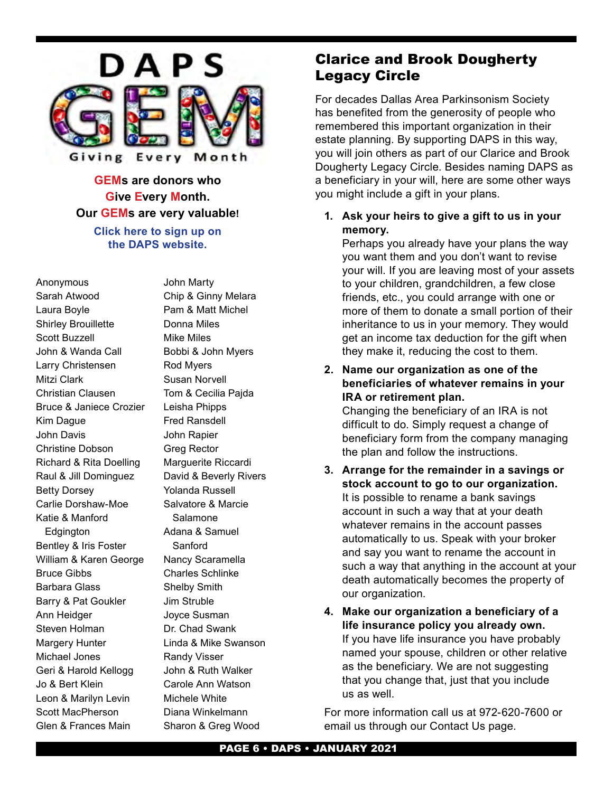<span id="page-5-0"></span>

**GEMs are donors who Give Every Month. Our GEMs are very valuable! [Click here to sign up on](https://daps.us/civicrm/contribute/transact?reset=1&id=8)  [the DAPS website.](https://daps.us/civicrm/contribute/transact?reset=1&id=8)**

**Anonymous** Sarah Atwood Laura Boyle Shirley Brouillette Scott Buzzell John & Wanda Call Larry Christensen Mitzi Clark Christian Clausen Bruce & Janiece Crozier Kim Dague John Davis Christine Dobson Richard & Rita Doelling Raul & Jill Dominguez Betty Dorsey Carlie Dorshaw-Moe Katie & Manford **Edgington** Bentley & Iris Foster William & Karen George Bruce Gibbs Barbara Glass Barry & Pat Goukler Ann Heidger Steven Holman Margery Hunter Michael Jones Geri & Harold Kellogg Jo & Bert Klein Leon & Marilyn Levin Scott MacPherson Glen & Frances Main

John Marty Chip & Ginny Melara Pam & Matt Michel Donna Miles Mike Miles Bobbi & John Myers Rod Myers Susan Norvell Tom & Cecilia Pajda Leisha Phipps Fred Ransdell John Rapier Greg Rector Marguerite Riccardi David & Beverly Rivers Yolanda Russell Salvatore & Marcie **Salamone** Adana & Samuel Sanford Nancy Scaramella Charles Schlinke Shelby Smith Jim Struble Joyce Susman Dr. Chad Swank Linda & Mike Swanson Randy Visser John & Ruth Walker Carole Ann Watson Michele White Diana Winkelmann Sharon & Greg Wood

# Clarice and Brook Dougherty Legacy Circle

For decades Dallas Area Parkinsonism Society has benefited from the generosity of people who remembered this important organization in their estate planning. By supporting DAPS in this way, you will join others as part of our Clarice and Brook Dougherty Legacy Circle. Besides naming DAPS as a beneficiary in your will, here are some other ways you might include a gift in your plans.

**1. Ask your heirs to give a gift to us in your memory.** 

Perhaps you already have your plans the way you want them and you don't want to revise your will. If you are leaving most of your assets to your children, grandchildren, a few close friends, etc., you could arrange with one or more of them to donate a small portion of their inheritance to us in your memory. They would get an income tax deduction for the gift when they make it, reducing the cost to them.

**2. Name our organization as one of the beneficiaries of whatever remains in your IRA or retirement plan.**

Changing the beneficiary of an IRA is not difficult to do. Simply request a change of beneficiary form from the company managing the plan and follow the instructions.

- **3. Arrange for the remainder in a savings or stock account to go to our organization.** It is possible to rename a bank savings account in such a way that at your death whatever remains in the account passes automatically to us. Speak with your broker and say you want to rename the account in such a way that anything in the account at your death automatically becomes the property of our organization.
- **4. Make our organization a beneficiary of a life insurance policy you already own.** If you have life insurance you have probably named your spouse, children or other relative as the beneficiary. We are not suggesting that you change that, just that you include us as well.

For more information call us at 972-620-7600 or email us through our Contact Us page.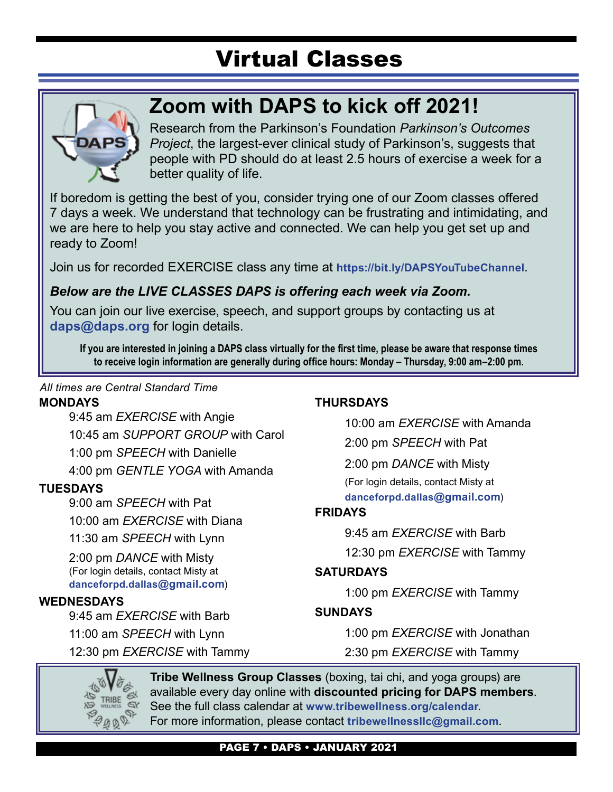# Virtual Classes

<span id="page-6-0"></span>

# **Zoom with DAPS to kick off 2021!**

Research from the Parkinson's Foundation *Parkinson's Outcomes Project*, the largest-ever clinical study of Parkinson's, suggests that people with PD should do at least 2.5 hours of exercise a week for a better quality of life.

If boredom is getting the best of you, consider trying one of our Zoom classes offered 7 days a week. We understand that technology can be frustrating and intimidating, and we are here to help you stay active and connected. We can help you get set up and ready to Zoom!

Join us for recorded EXERCISE class any time at **<https://bit.ly/DAPSYouTubeChannel>**.

# *Below are the LIVE CLASSES DAPS is offering each week via Zoom.*

You can join our live exercise, speech, and support groups by contacting us at **daps@daps.org** for login details.

**If you are interested in joining a DAPS class virtually for the first time, please be aware that response times to receive login information are generally during office hours: Monday – Thursday, 9:00 am–2:00 pm.**

**MONDAYS** *All times are Central Standard Time*

9:45 am *EXERCISE* with Angie

10:45 am *SUPPORT GROUP* with Carol

1:00 pm *SPEECH* with Danielle

4:00 pm *GENTLE YOGA* with Amanda

# **TUESDAYS**

9:00 am *SPEECH* with Pat

10:00 am *EXERCISE* with Diana

11:30 am *SPEECH* with Lynn

2:00 pm *DANCE* with Misty (For login details, contact Misty at **danceforpd.dallas[@gmail.com](mailto:mowensdance%40gmail.com?subject=T/Th%20Virtual%20Dance)**)

# **WEDNESDAYS**

9:45 am *EXERCISE* with Barb

11:00 am *SPEECH* with Lynn

12:30 pm *EXERCISE* with Tammy

# **THURSDAYS**

10:00 am *EXERCISE* with Amanda

2:00 pm *SPEECH* with Pat

2:00 pm *DANCE* with Misty

(For login details, contact Misty at

**danceforpd.dallas[@gmail.com](mailto:mowensdance%40gmail.com?subject=T/Th%20Virtual%20Dance)**)

### **FRIDAYS**

9:45 am *EXERCISE* with Barb

12:30 pm *EXERCISE* with Tammy

# **SATURDAYS**

1:00 pm *EXERCISE* with Tammy

# **SUNDAYS**

1:00 pm *EXERCISE* with Jonathan

2:30 pm *EXERCISE* with Tammy



**Tribe Wellness Group Classes** (boxing, tai chi, and yoga groups) are available every day online with **discounted pricing for DAPS members**. See the full class calendar at **[www.tribewellness.org/calendar](https://www.tribewellness.org/calendar)**. For more information, please contact **[tribewellnessllc@gmail.com](mailto:tribewellnessllc%40gmail.com?subject=)**.

# PAGE 7 • DAPS • JANUARY 2021